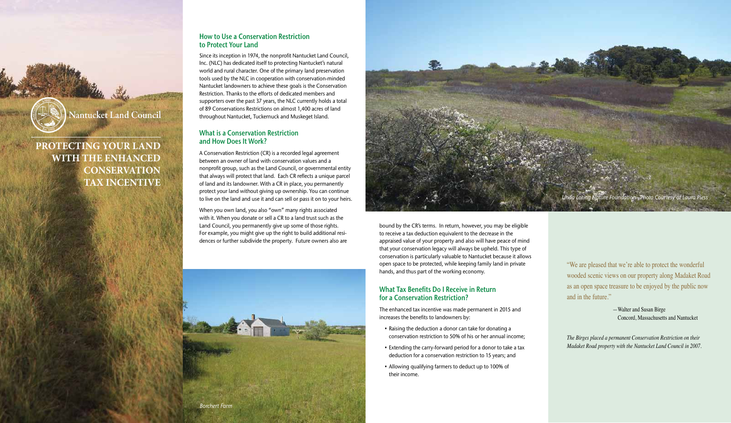bound by the CR's terms. In return, however, you may be eligible to receive a tax deduction equivalent to the decrease in the appraised value of your property and also will have peace of mind that your conservation legacy will always be upheld. This type of conservation is particularly valuable to Nantucket because it allows open space to be protected, while keeping family land in private hands, and thus part of the working economy.

- Raising the deduction a donor can take for donating a conservation restriction to 50% of his or her annual income;
- Extending the carry-forward period for a donor to take a tax deduction for a conservation restriction to 15 years; and
- Allowing qualifying farmers to deduct up to 100% of their income.

## What Tax Benefits Do I Receive in Return for a Conservation Restriction?

The enhanced tax incentive was made permanent in 2015 and increases the benefits to landowners by:

"We are pleased that we're able to protect the wonderful wooded scenic views on our property along Madaket Road as an open space treasure to be enjoyed by the public now and in the future."

> —Walter and Susan Birge Concord, Massachusetts and Nantucket

*The Birges placed a permanent Conservation Restriction on their Madaket Road property with the Nantucket Land Council in 2007.*





**Nantucket Land Council** 

# **PROTECTING YOUR LAND WITH THE ENHANCED CONSERVATION TAX INCENTIVE**

## How to Use a Conservation Restriction to Protect Your Land

Since its inception in 1974, the nonprofit Nantucket Land Council, Inc. (NLC) has dedicated itself to protecting Nantucket's natural world and rural character. One of the primary land preservation tools used by the NLC in cooperation with conservation-minded Nantucket landowners to achieve these goals is the Conservation Restriction. Thanks to the efforts of dedicated members and supporters over the past 37 years, the NLC currently holds a total of 89 Conservations Restrictions on almost 1,400 acres of land throughout Nantucket, Tuckernuck and Muskeget Island.

## What is a Conservation Restriction and How Does It Work?

A Conservation Restriction (CR) is a recorded legal agreement between an owner of land with conservation values and a nonprofit group, such as the Land Council, or governmental entity that always will protect that land. Each CR reflects a unique parcel of land and its landowner. With a CR in place, you permanently protect your land without giving up ownership. You can continue to live on the land and use it and can sell or pass it on to your heirs.

When you own land, you also "own" many rights associated with it. When you donate or sell a CR to a land trust such as the Land Council, you permanently give up some of those rights. For example, you might give up the right to build additional residences or further subdivide the property. Future owners also are